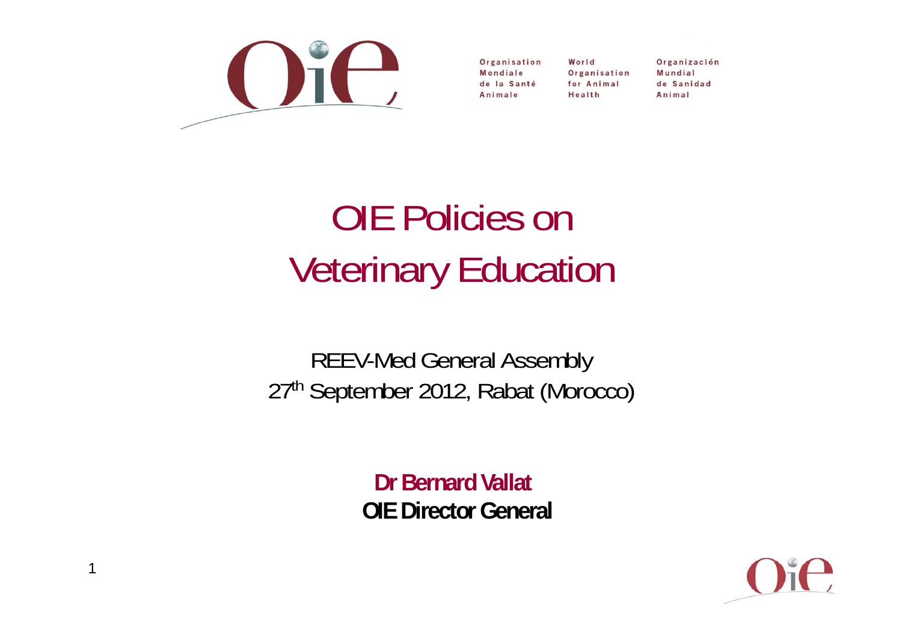

Organisation Mondiale de la Santé Animale

World Organisation for Animal Health

Organización Mundial de Sanidad Animal

# OIE Policies onVeterinary Education

REEV-Med General Assembly 27th September 2012, Rabat (Morocco)

> **Dr Bernard VallatOIE Director General**

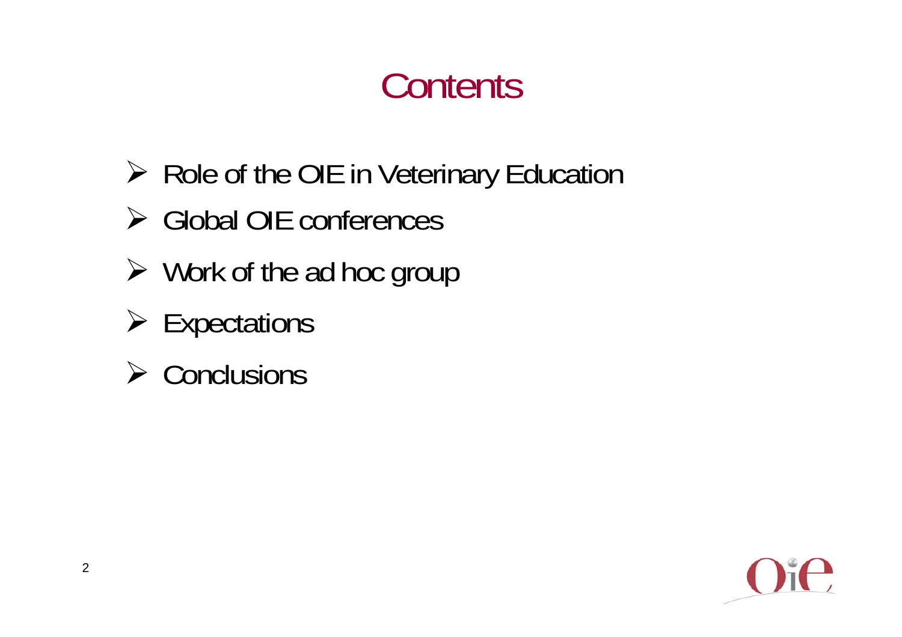## **Contents**

- ▶ Role of the OIE in Veterinary Education
- Global OIE conferences
- $\triangleright$  Work of the ad hoc group
- $\triangleright$  Expectations
- $\triangleright$  Conclusions

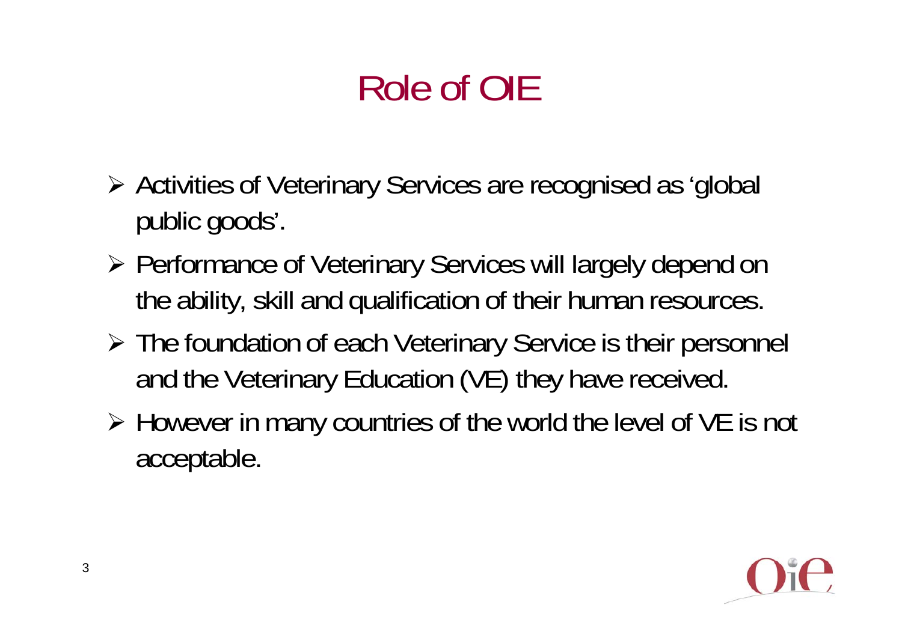# Role of OIE

- Activities of Veterinary Services are recognised as 'global public goods'.
- Performance of Veterinary Services will largely depend on the ability, skill and qualification of their human resources.
- The foundation of each Veterinary Service is their personnel and the Veterinary Education (VE) they have received.
- However in many countries of the world the level of VE is not acceptable.

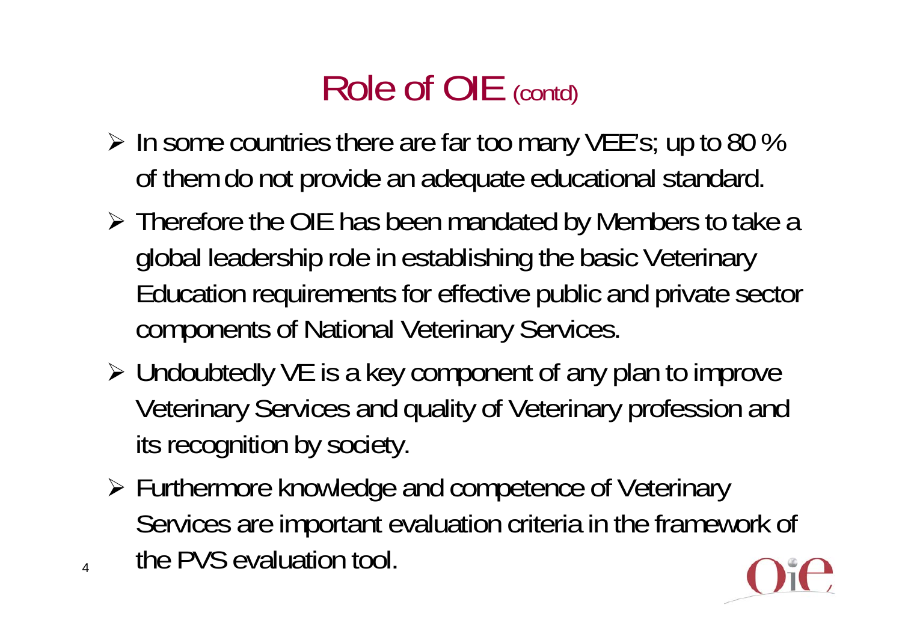# Role of OIE (contd)

- $\triangleright$  In some countries there are far too many VEE's; up to 80 % of them do not provide an adequate educational standard.
- Therefore the OIE has been mandated by Members to take a global leadership role in establishing the basic Veterinary Education requirements for effective public and private sector components of National Veterinary Services.
- Undoubtedly VE is a key component of any plan to improve Veterinary Services and quality of Veterinary profession and its recognition by society.
- Furthermore knowledge and competence of Veterinary Services are important evaluation criteria in the framework of the PVS evaluation tool.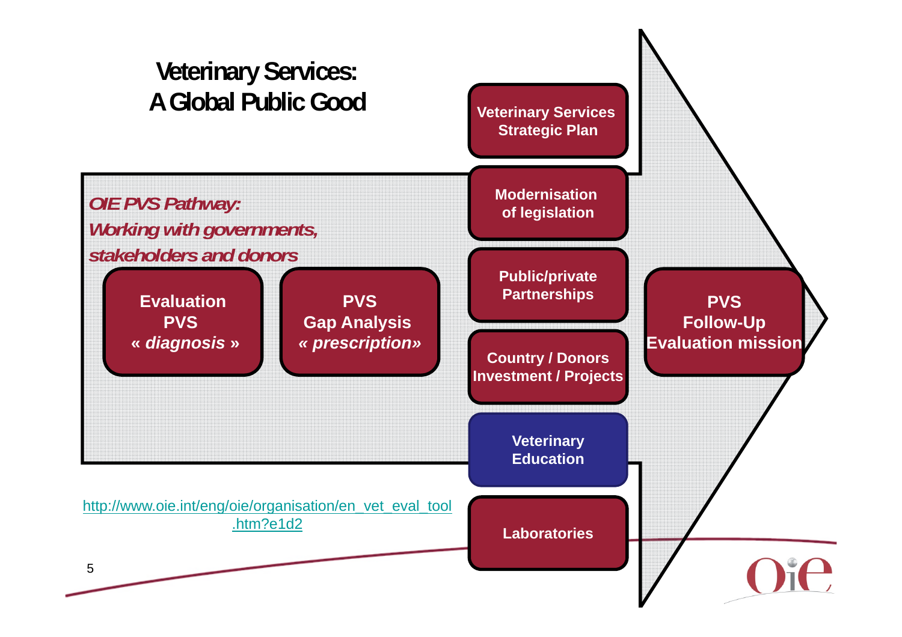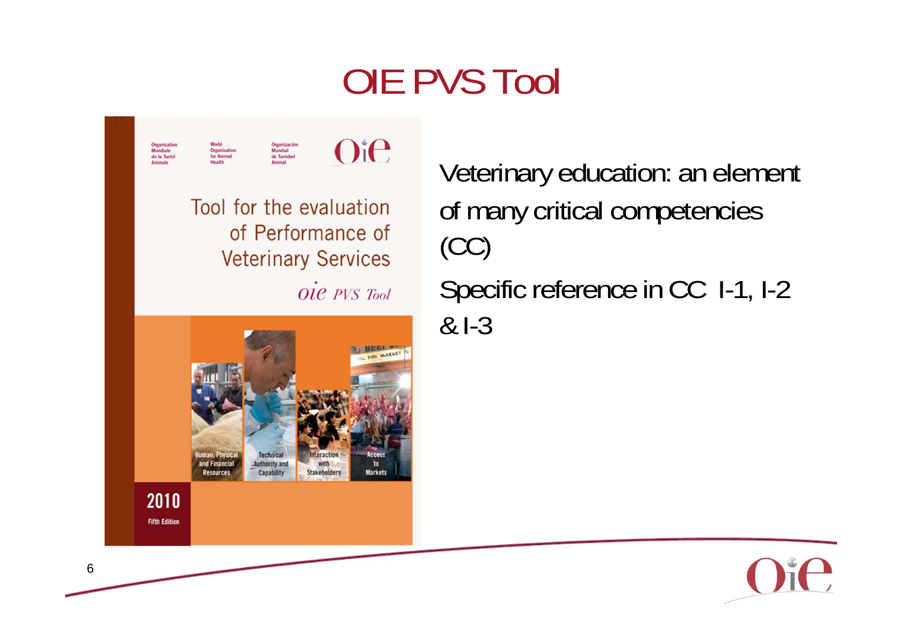## OIE PVS Tool



Veterinary education: an element of many critical competencies (CC) Specific reference in CC 1-1, 1-2 & I-3

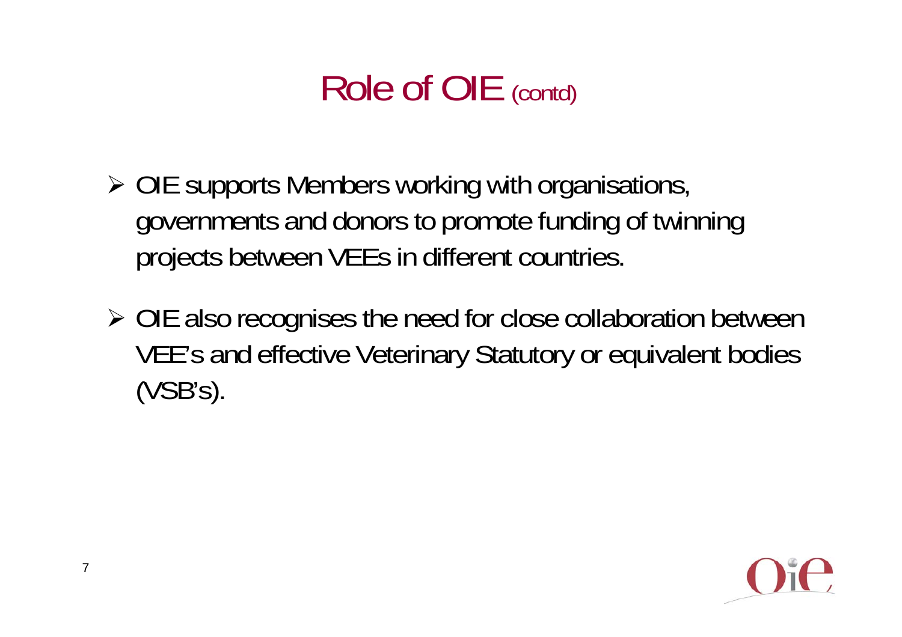## Role of OIE (contd)

- OIE supports Members working with organisations, governments and donors to promote funding of twinning projects between VEEs in different countries.
- OIE also recognises the need for close collaboration between VEE's and effective Veterinary Statutory or equivalent bodies (VSB's).

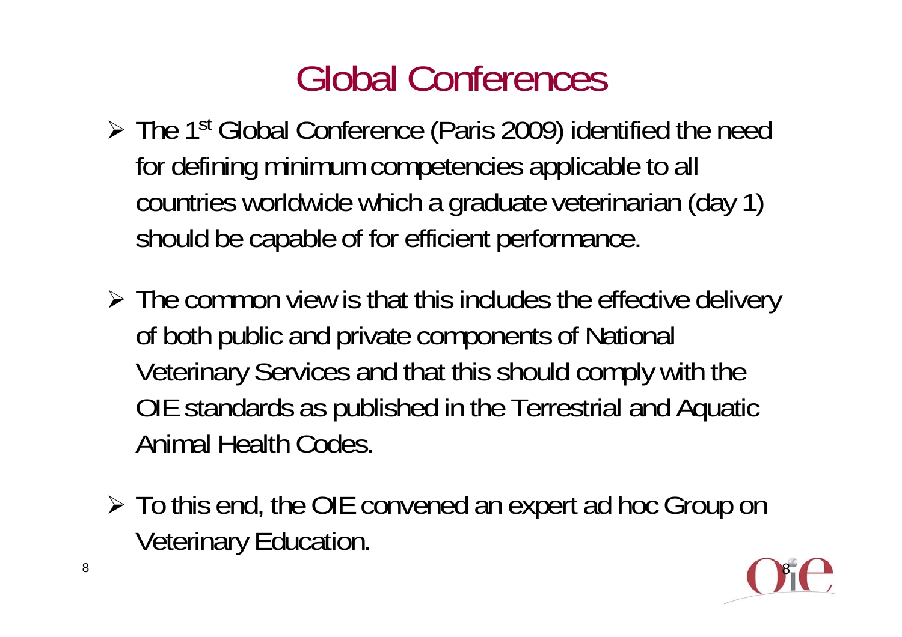## Global Conferences

- ► The 1<sup>st</sup> Global Conference (Paris 2009) identified the need for defining minimum competencies applicable to all countries worldwide which a graduate veterinarian (day 1) should be capable of for efficient performance.
- $\triangleright$  The common view is that this includes the effective delivery of both public and private components of National Veterinary Services and that this should comply with the OIE standards as published in the Terrestrial and Aquatic Animal Health Codes.
- $\triangleright$  To this end, the OIE convened an expert ad hoc Group on Veterinary Education.

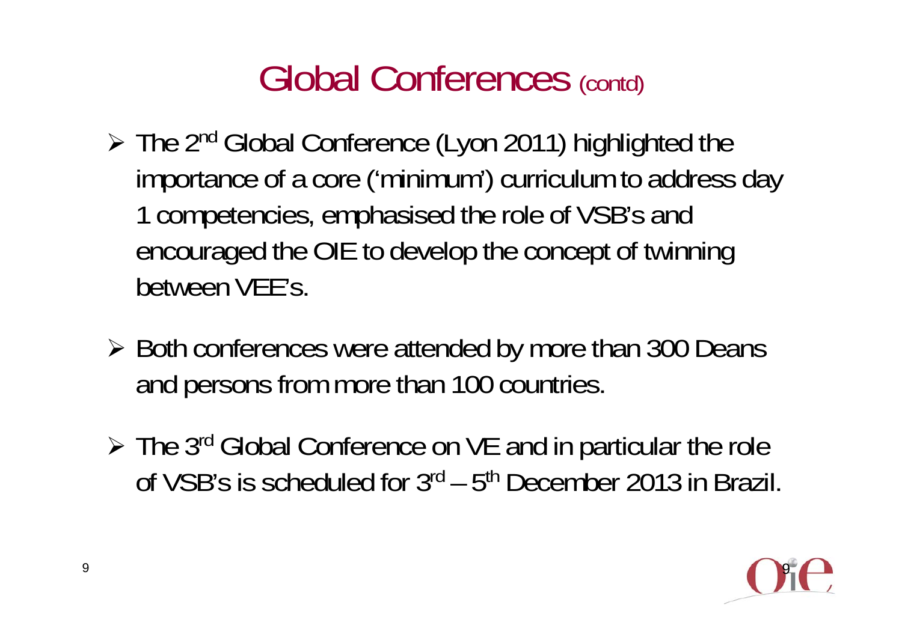#### Global Conferences (contd)

- > The 2<sup>nd</sup> Global Conference (Lyon 2011) highlighted the importance of a core ('minimum') curriculum to address day 1 competencies, emphasised the role of VSB's and encouraged the OIE to develop the concept of twinning between VEE's.
- ▶ Both conferences were attended by more than 300 Deans and persons from more than 100 countries.
- ► The 3<sup>rd</sup> Global Conference on VE and in particular the role of VSB's is scheduled for 3rd – 5th December 2013 in Brazil.

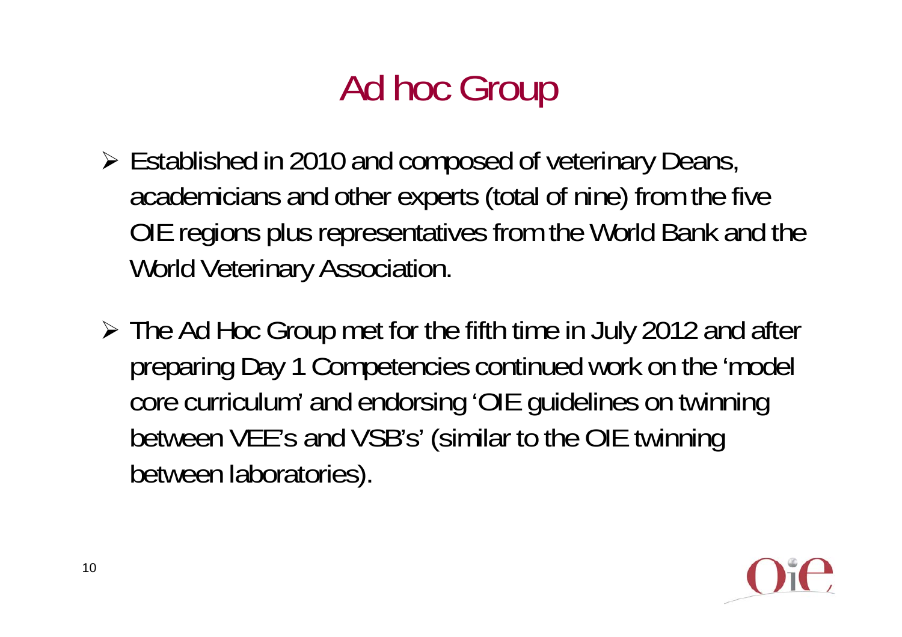# Ad hoc Group

- Established in 2010 and composed of veterinary Deans, academicians and other experts (total of nine) from the five OIE regions plus representatives from the World Bank and the World Veterinary Association.
- The Ad Hoc Group met for the fifth time in July 2012 and after preparing Day 1 Competencies continued work on the 'model core curriculum' and endorsing 'OIE guidelines on twinning between VEE's and VSB's' (similar to the OIE twinning between laboratories).

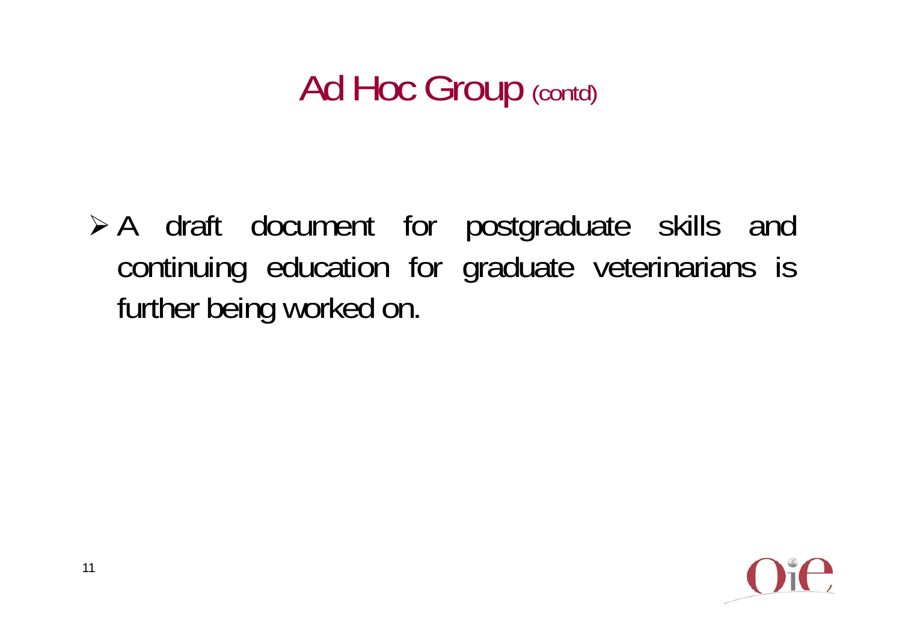### Ad Hoc Group (contd)

 A draft document for postgraduate skills and continuing education for graduate veterinarians is further being worked on.

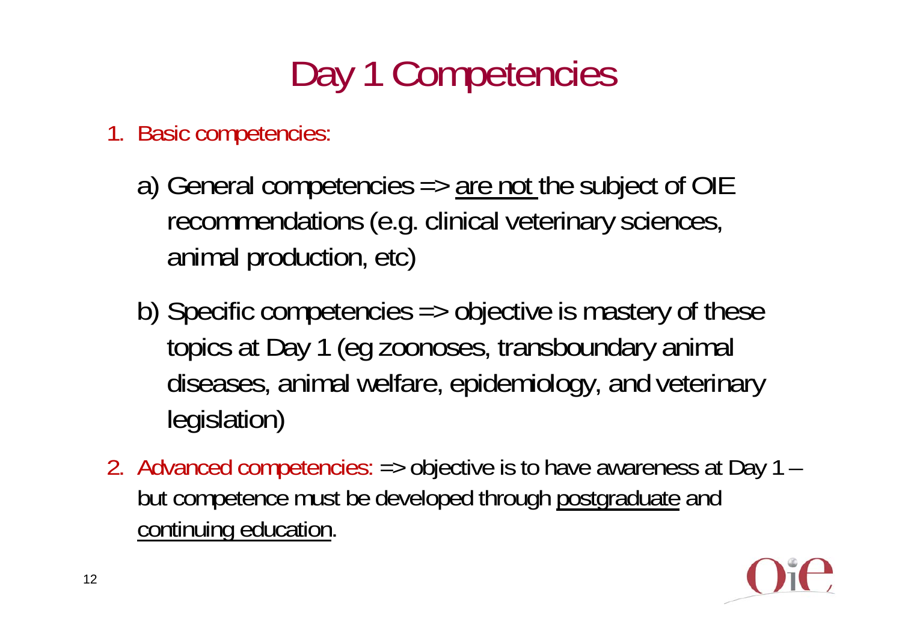# Day 1 Competencies

- 1. Basic competencies:
	- a) General competencies  $\Rightarrow$  are not the subject of OIE recommendations (e.g. clinical veterinary sciences, animal production, etc)
	- b) Specific competencies => objective is mastery of these topics at Day 1 (eg zoonoses, transboundary animal diseases, animal welfare, epidemiology, and veterinary legislation)
- 2. Advanced competencies: => objective is to have awareness at Day 1 but competence must be developed through postgraduate and continuing education.

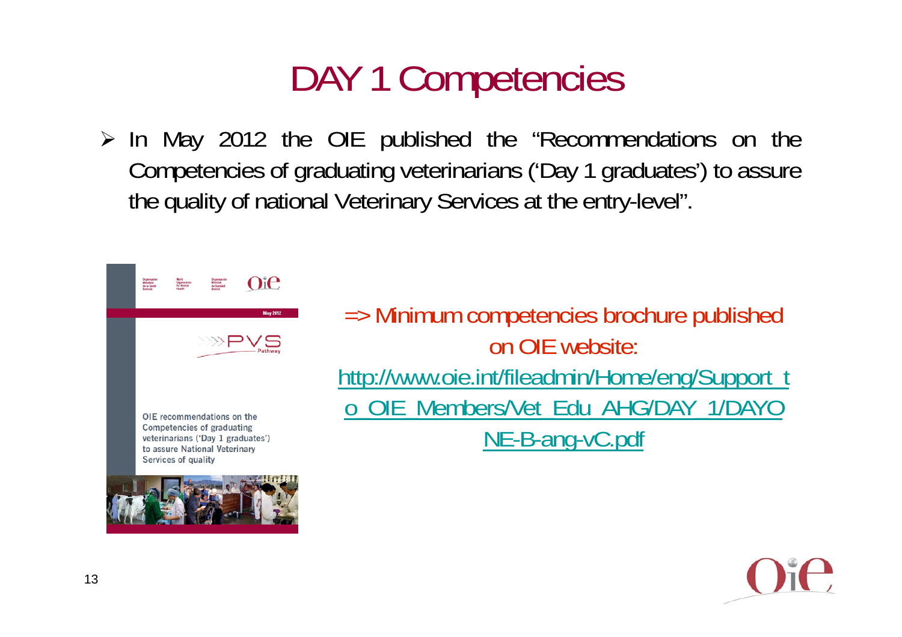### DAY 1 Competencies

> In May 2012 the OIE published the "Recommendations on the Competencies of graduating veterinarians ('Day <sup>1</sup> graduates') to assure the quality of national Veterinary Services at the entry-level".



=> Minimum competencies brochure published on OIE website: http://www.oie.int/fileadmin/Home/eng/Support\_t o\_OIE\_Members/Vet\_Edu\_AHG/DAY\_1/DAYO NE-B-ang-vC.pdf

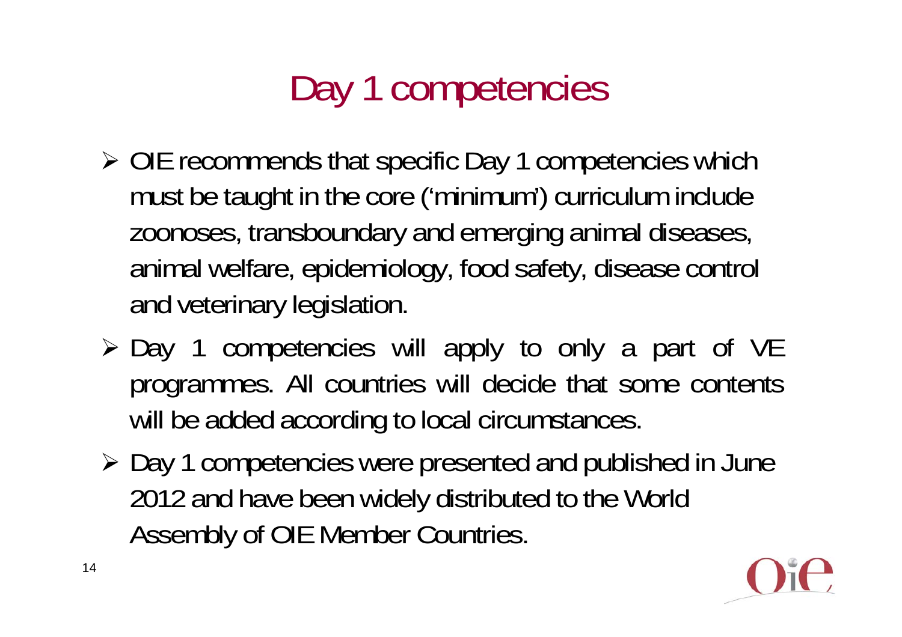# Day 1 competencies

- OIE recommends that specific Day 1 competencies which must be taught in the core ('minimum') curriculum include zoonoses, transboundary and emerging animal diseases, animal welfare, epidemiology, food safety, disease control and veterinary legislation.
- $\triangleright$  Day 1 competencies will apply to only a part of VE programmes. All countries will decide that some contents will be added according to local circumstances.
- Day 1 competencies were presented and published in June 2012 and have been widely distributed to the World Assembly of OIE Member Countries.

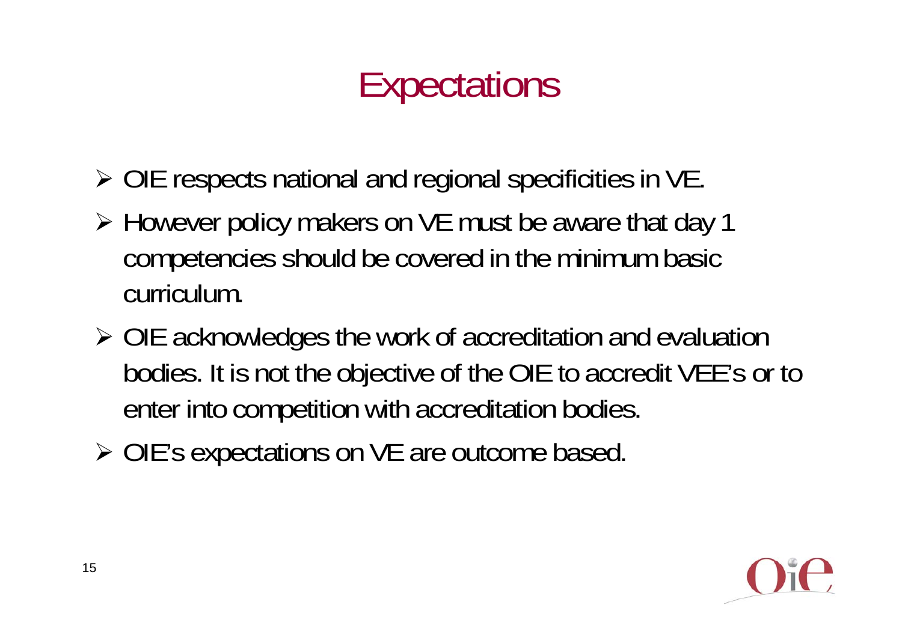# **Expectations**

- OIE respects national and regional specificities in VE.
- However policy makers on VE must be aware that day 1 competencies should be covered in the minimum basic curriculum.
- OIE acknowledges the work of accreditation and evaluation bodies. It is not the objective of the OIE to accredit VEE's or to enter into competition with accreditation bodies.
- ▶ OIE's expectations on VE are outcome based.

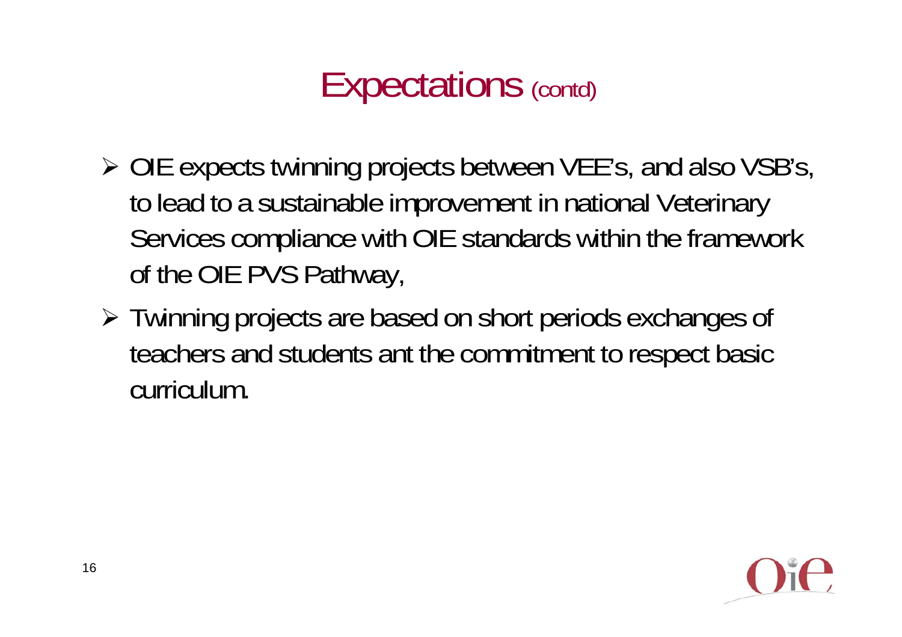#### Expectations (contd)

- OIE expects twinning projects between VEE's, and also VSB's, to lead to a sustainable improvement in national Veterinary Services compliance with OIE standards within the framework of the OIE PVS Pathway,
- Twinning projects are based on short periods exchanges of teachers and students ant the commitment to respect basic curriculum.

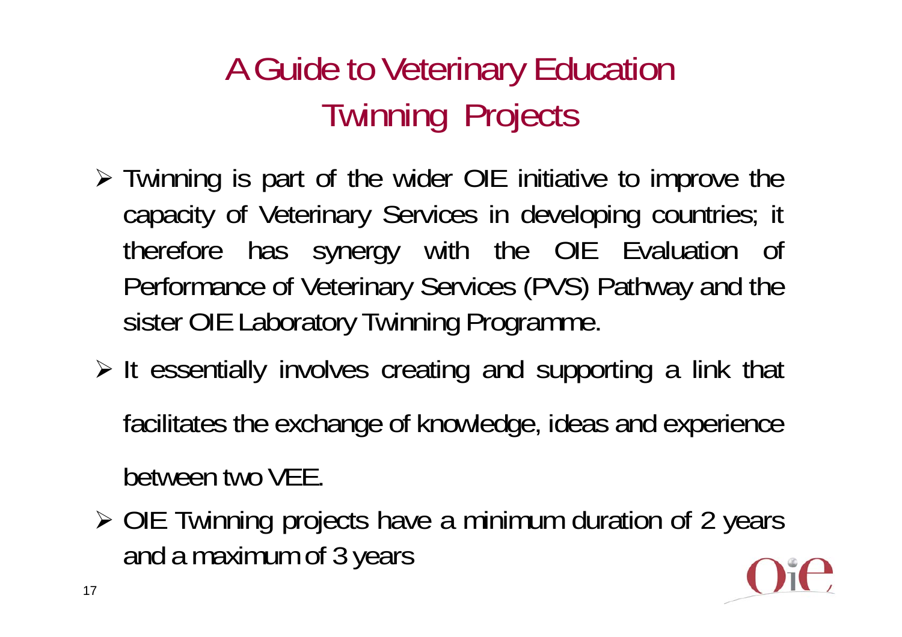#### A Guide to Veterinary Education Twinning Projects

- Twinning is part of the wider OIE initiative to improve the capacity of Veterinary Services in developing countries; it therefore has synergy with the OIE Evaluation of Performance of Veterinary Services (PVS) Pathway and the sister OIE Laboratory Twinning Programme.
- $\triangleright$  It essentially involves creating and supporting a link that facilitates the exchange of knowledge, ideas and experience between two VEE.
- OIE Twinning projects have <sup>a</sup> minimum duration of 2 years and <sup>a</sup> maximum of 3 years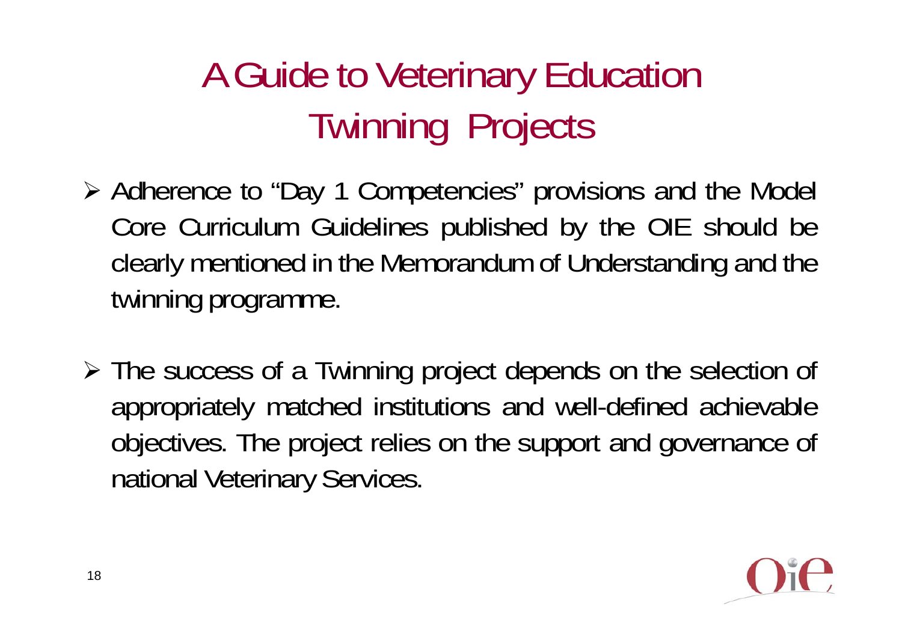# A Guide to Veterinary Education Twinning Projects

- Adherence to "Day 1 Competencies" provisions and the Model Core Curriculum Guidelines published by the OIE should be clearly mentioned in the Memorandum of Understanding and the twinning programme.
- The success of <sup>a</sup> Twinning project depends on the selection of appropriately matched institutions and well-defined achievable objectives. The project relies on the support and governance of national Veterinary Services.

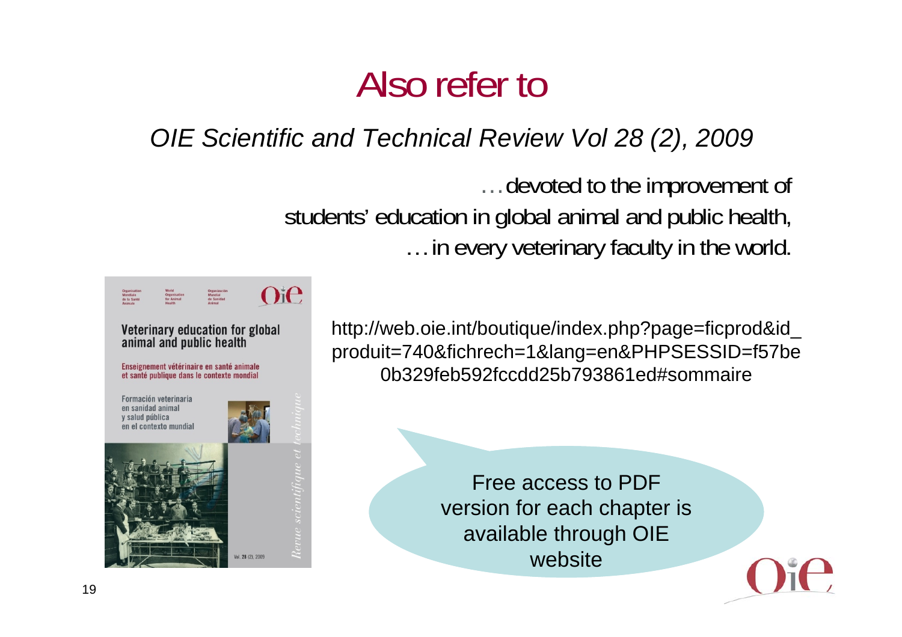#### Also refer to

#### *OIE Scientific and Technical Review Vol 28 (2), 2009*

…devoted to the improvement of students' education in global animal and public health, … in every veterinary faculty in the world.



http://web.oie.int/boutique/index.php?page=ficprod&id\_ produit=740&fichrech=1&lang=en&PHPSESSID=f57be 0b329feb592fccdd25b793861ed#sommaire

> Free access to PDF version for each chapter is available through OIE website

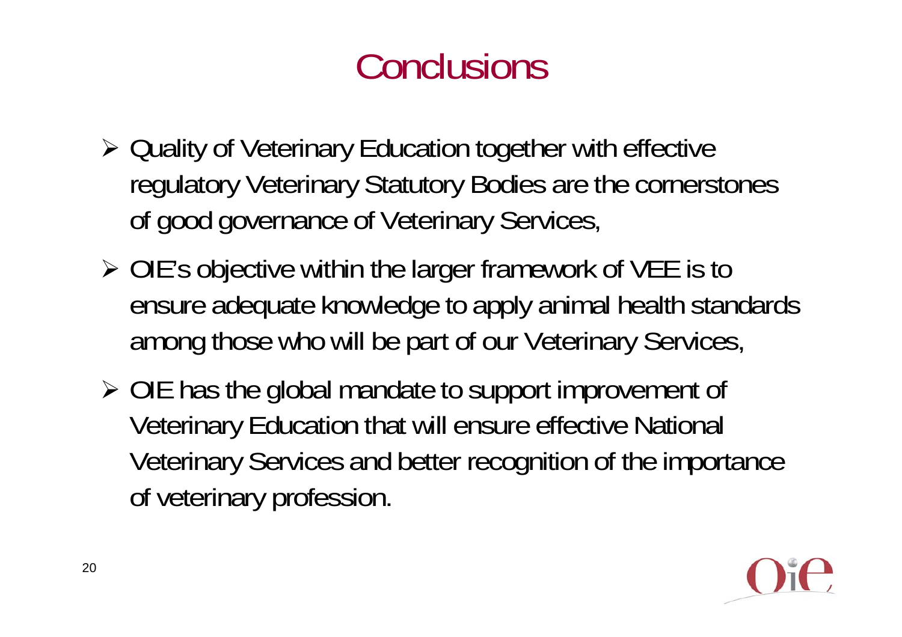## Conclusions

- Quality of Veterinary Education together with effective regulatory Veterinary Statutory Bodies are the cornerstones of good governance of Veterinary Services,
- OIE's objective within the larger framework of VEE is to ensure adequate knowledge to apply animal health standards among those who will be part of our Veterinary Services,
- OIE has the global mandate to support improvement of Veterinary Education that will ensure effective National Veterinary Services and better recognition of the importance of veterinary profession.